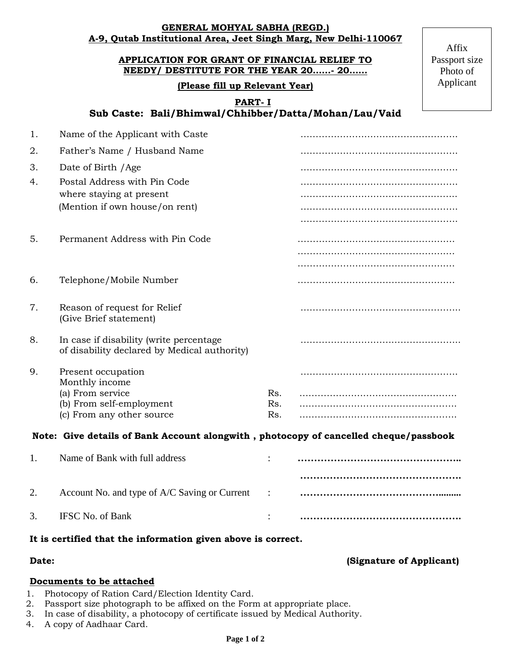### **GENERAL MOHYAL SABHA (REGD.) A-9, Qutab Institutional Area, Jeet Singh Marg, New Delhi-110067**

# **APPLICATION FOR GRANT OF FINANCIAL RELIEF TO NEEDY/ DESTITUTE FOR THE YEAR 20……- 20……**

# **(Please fill up Relevant Year)**

Affix Passport size Photo of Applicant

## **PART- I Sub Caste: Bali/Bhimwal/Chhibber/Datta/Mohan/Lau/Vaid**

| 1. | Name of the Applicant with Caste                                                         |     |  |
|----|------------------------------------------------------------------------------------------|-----|--|
| 2. | Father's Name / Husband Name                                                             |     |  |
| 3. | Date of Birth / Age                                                                      |     |  |
| 4. | Postal Address with Pin Code                                                             |     |  |
|    | where staying at present                                                                 |     |  |
|    | (Mention if own house/on rent)                                                           |     |  |
|    |                                                                                          |     |  |
| 5. | Permanent Address with Pin Code                                                          |     |  |
|    |                                                                                          |     |  |
|    |                                                                                          |     |  |
| 6. | Telephone/Mobile Number                                                                  |     |  |
| 7. | Reason of request for Relief<br>(Give Brief statement)                                   |     |  |
| 8. | In case if disability (write percentage)<br>of disability declared by Medical authority) |     |  |
| 9. | Present occupation<br>Monthly income                                                     |     |  |
|    | (a) From service                                                                         | Rs. |  |
|    | (b) From self-employment                                                                 | Rs. |  |
|    | (c) From any other source                                                                | Rs. |  |
|    | Note: Give details of Bank Account alongwith, photocopy of cancelled cheque/passbook     |     |  |
| 1. | Name of Bank with full address                                                           |     |  |
|    |                                                                                          |     |  |
| 2. | Account No. and type of A/C Saving or Current                                            |     |  |
|    |                                                                                          |     |  |
| 3. | <b>IFSC No. of Bank</b>                                                                  |     |  |

# **It is certified that the information given above is correct.**

### **Date: (Signature of Applicant)**

### **Documents to be attached**

- 1. Photocopy of Ration Card/Election Identity Card.
- 2. Passport size photograph to be affixed on the Form at appropriate place.
- 3. In case of disability, a photocopy of certificate issued by Medical Authority.
- 4. A copy of Aadhaar Card.